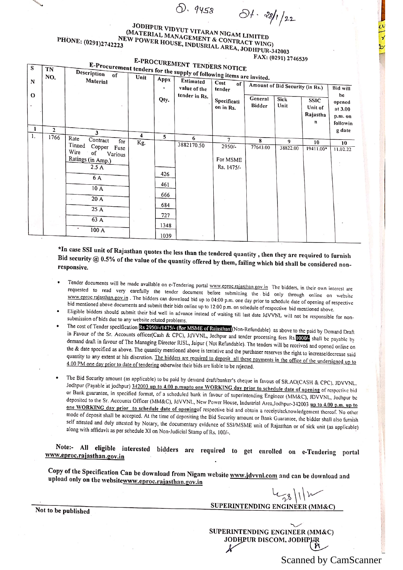A. <sup>1458</sup>

## $01.21/22$ (MATERIAL MANAGEMENT & CONTRACT WING) JODHPUR VIDYUT VITARAN NIGAM<br>IATERIAL MANAGEMENT & COVI PHONE: (0291)2742223<br>PHONE: (0291)2742223<br>MEW POWER HOUSE, INDUSRIAL AREA, JODHPUR-342003

## FAX; (0291) <sup>2746539</sup>

 $\frac{1}{2}$   $\frac{1}{2}$ 

| E-PROCUREMENT TENDERS NOTICE<br>E-Procurement tenders for the supply of following items are invited. |                |                              |     |      |                           |                      |                                 |              |             |                       |
|------------------------------------------------------------------------------------------------------|----------------|------------------------------|-----|------|---------------------------|----------------------|---------------------------------|--------------|-------------|-----------------------|
| S                                                                                                    | TN             |                              |     |      |                           |                      |                                 |              |             |                       |
|                                                                                                      | NO.            | Description                  |     |      |                           |                      |                                 |              |             |                       |
| N<br>$\mathbf{o}$                                                                                    |                | Material                     |     | Appx | Estimated<br>value of the | Cost<br>of<br>tender | Amount of Bid Security (in Rs.) |              |             | <b>Bid will</b><br>be |
|                                                                                                      |                |                              |     | Qty. | tender in Rs.             | Specificati          | General<br>Bidder               | Sick<br>Unit | <b>SSIC</b> | opened                |
|                                                                                                      |                |                              |     |      |                           | on in Rs.            |                                 |              | Unit of     | at 3.00               |
|                                                                                                      |                |                              |     |      |                           |                      |                                 |              | Rajastha    | p.m. on               |
|                                                                                                      |                |                              |     |      |                           |                      |                                 |              | n           | followin              |
| 1                                                                                                    | $\overline{2}$ | 3                            |     |      |                           |                      |                                 |              |             | g date                |
| 1.                                                                                                   | 1766           | Rate                         | 4   | 5    | 6                         | $\overline{7}$       |                                 |              |             |                       |
|                                                                                                      |                | Contract<br>for<br>Tinned    | Kg. |      | 3882170.50                | 2950/-               | 8                               | 9            | 10          | 10                    |
|                                                                                                      |                | Copper<br>Fuse<br>Wire<br>of |     |      |                           |                      | 77643.00                        | 38822.00     | 19411.00*   | 11.02.22              |
|                                                                                                      |                | Various<br>Ratings (in Amp.) |     |      |                           | For MSME             |                                 |              |             |                       |
|                                                                                                      |                | 2.5A                         |     |      |                           | Rs. 1475/-           |                                 |              |             |                       |
|                                                                                                      |                |                              |     | 426  |                           |                      |                                 |              |             |                       |
|                                                                                                      |                | 6 A                          |     |      |                           |                      |                                 |              |             |                       |
|                                                                                                      |                | 10A                          |     | 461  |                           |                      |                                 |              |             |                       |
|                                                                                                      |                |                              |     | 666  |                           |                      |                                 |              |             |                       |
|                                                                                                      |                | 20 A                         |     |      |                           |                      |                                 |              |             |                       |
|                                                                                                      |                | 25A                          |     | 684  |                           |                      |                                 |              |             |                       |
|                                                                                                      |                |                              |     | 727  |                           |                      |                                 |              |             |                       |
|                                                                                                      |                | 63 A                         |     | 1348 |                           |                      |                                 |              |             |                       |
|                                                                                                      |                | 100A                         |     |      |                           |                      |                                 |              |             |                       |
|                                                                                                      |                |                              |     | 1039 |                           |                      |                                 |              |             |                       |

\*In case SSI unit of Rajasthan quotes the less than the tendered quantity , then they are required to furnish Bid security @ 0.5% of the value of the quanti ris security @ 0.5% of the value of the quantity offered by them, failing which bid shall be considered non-<br>responsive.

- Tender documents will be made available on e-Tendering portal www.eproc.rajasthan.gov.in The bidders, in their own interest are<br>requested to read very carefully the tender document before in the state of the bidders, in th www.eproc.rajasthan.gov.in. The bidders can download bid up to 04:00 p.m. one day prior to schedule date of opening of respective<br>bid mentioned above documents and submit that hide a line of a second respectively. requested to read very carefully the tender document before submitting the bid only through online on website bid mentioned above documents and submit their bids online up to 12:00 p.m. on schedule of respective bid mentioned above.
- Eligible bidders should submit their bid well in advance instead of wailing till last date JdVVNL will not be responsible for nonsubmission of bids due to any website related problems,
- The cost of Tender specification Rs 2950/-/1475/- (Ror MSME of Rajasthan) (Non-Refundable) as above to the paid by Demand Draft in Favour of the Sr. Accounts officer(Cash & CPC), JdVVNL, Jodhpur and tender processing fees Rs. 00004 shall be payable by demand draft in favour of The Managing Director RISL, Jaipur ( Not Refundable). The tenders will be re ceived and opened online on the & date specified as above. The quantity mentioned above is tentative and the purchaser reserves the right to increase/decrease said quantity to any extent at his discretion. The bidders are required to deposit all these payments in the office of the undersigned up to 4.00 PM one day prior to date of tendering otherwise their bids are liable to be rejected.
- The Bid Security amount (as applicable) to be paid by dernand draft/banker's che que in favous of SR.AO(CASH & CPC), JDVVNL. Jodhpur (Payable at jodhpur) <sup>342003</sup> up to 4.00 p.mupto one WORKING day prior to schedule date of opening of respective bid or Bank guarantee, in specified format, of <sup>a</sup> scheduled bank in favour of superintending Engineer (MM&C), JDVVNL, Jodhpur be deposited to the Sr. Accounts Officer (MM&C), JdVVNL, New Power House, Industrial Area,Jodhpur-342003 up to 4.00 p.m. up to one WORKING day prior to schedule date of openingof respective bid and obtain a receipVacknowledgement thereof. No other mode of deposit shall be accepted. At the time of depositing the Bid Security amount or Bank Guarantee, the bidder shall also furnish self attested and duly attested by Notary, the documentary evidence of SSI/MSME unit of Rajasthan or of sick unit (as applicable) along with affidavit as per schedule XI on Non-Judicial Stamp of Rs. 100/-,

Note:- All eligible interested bidders are required to get enrolled on e-Tendering portal Wwww.eproc.rajasthan.gov.in

Copy of the Specification Can be download from Nigam website <u>www.jdvvnl.co</u>m and can be download and upload only on the websitewww.eproc.rajasthan.gov.in

 $\frac{1}{28}$ SUPERINTENDING ENGINEER (MM&C)

Not to be published

"

"NSUPERINTENDING ENGINEER (MM&C) JODHPUR DISCOM, JODHPUR

Scanned by CamScanner